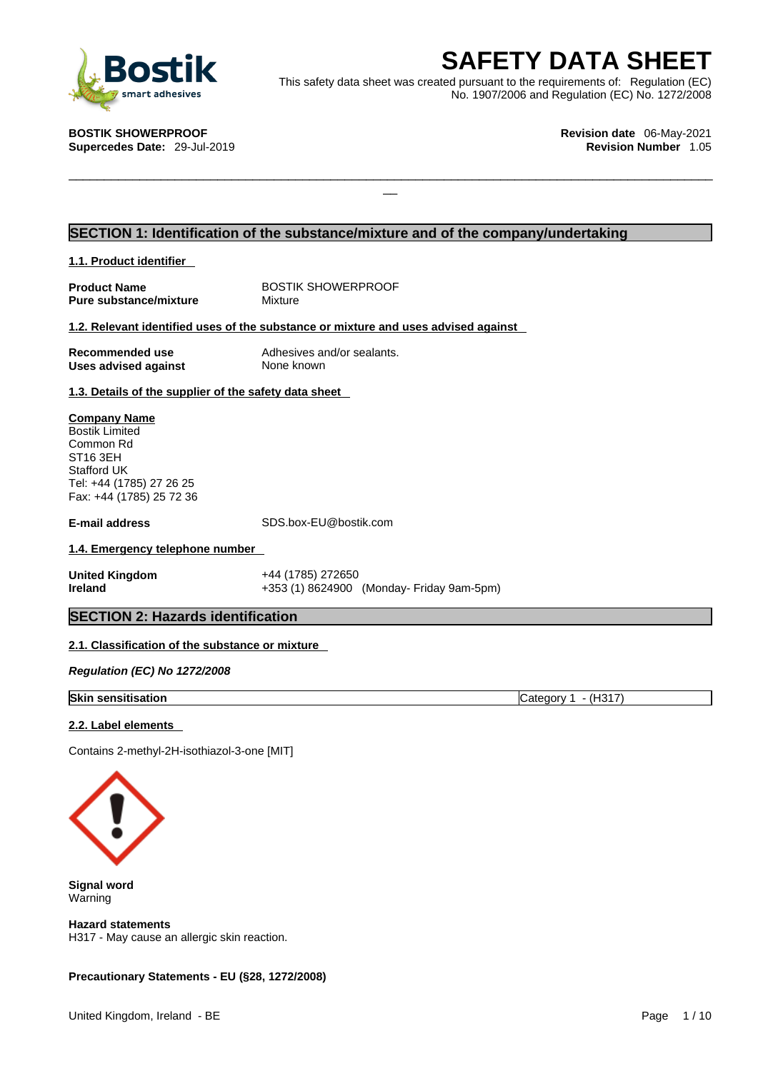

**SAFETY DATA SHEET**<br>
et was created pursuant to the requirements of: Regulation (EC)<br>
No. 1907/2006 and Regulation (EC) No. 1272/2008<br>
Revision date 06-May-2021<br>
Revision Number 1.05 This safety data sheet was created pursuant to the requirements of: Regulation (EC) No. 1907/2006 and Regulation (EC) No. 1272/2008

 $\Box$ 

**BOSTIK SHOWERPROOF Revision date** 06-May-2021

**Supercedes Date: 29-Jul-2019** 

# **SECTION 1: Identification of the substance/mixture and of the company/undertaking**

**1.1. Product identifier** 

**Product Name** BOSTIK SHOWERPROOF<br> **Pure substance/mixture** Mixture Mixture **Pure substance/mixture** 

# **1.2. Relevant identified uses of the substance or mixture and uses advised against**

**Uses advised against** None known

**Recommended use** Adhesives and/or sealants.

**1.3. Details of the supplier of the safety data sheet**

**Company Name** Bostik Limited Common Rd ST16 3EH Stafford UK Tel: +44 (1785) 27 26 25 Fax: +44 (1785) 25 72 36

**E-mail address** SDS.box-EU@bostik.com

# **1.4. Emergency telephone number**

**United Kingdom** +44 (1785) 272650

**Ireland** +353 (1) 8624900 (Monday- Friday 9am-5pm)

# **SECTION 2: Hazards identification**

# **2.1. Classification of the substance or mixture**

*Regulation (EC) No 1272/2008* 

# **Skin sensitisation** Category 1 - (H317)

## **2.2. Label elements**

Contains 2-methyl-2H-isothiazol-3-one [MIT]



**Signal word** Warning

**Hazard statements** H317 - May cause an allergic skin reaction.

# **Precautionary Statements - EU (§28, 1272/2008)**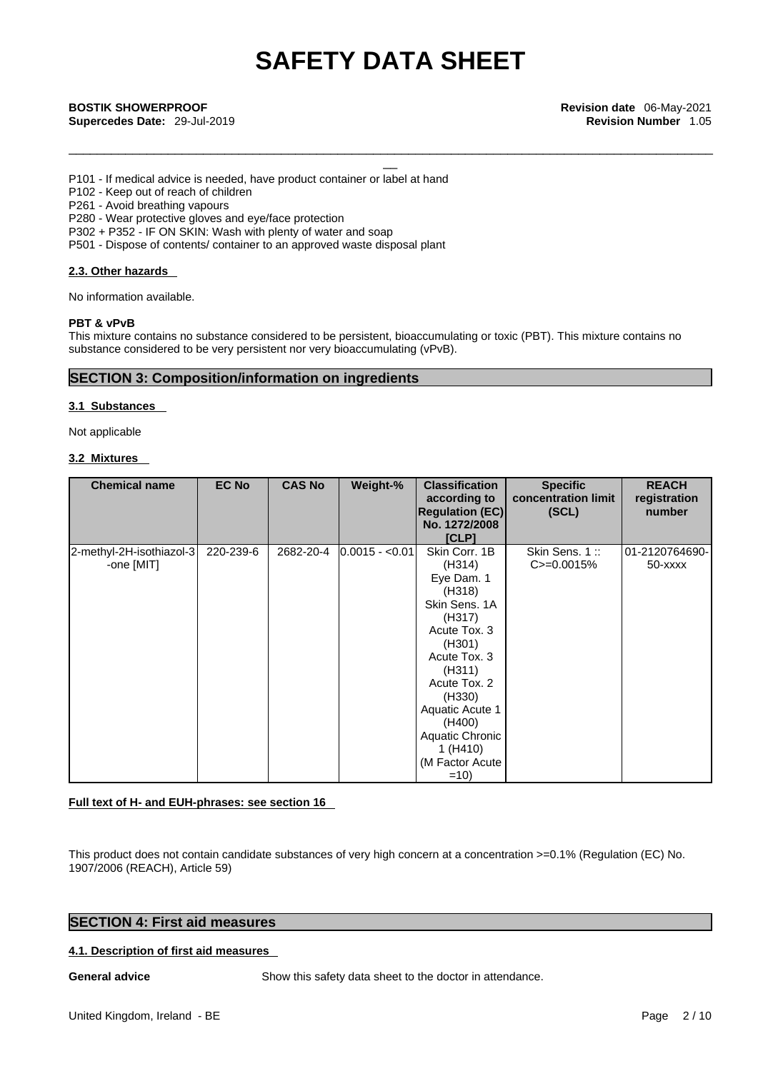\_\_\_\_\_\_\_\_\_\_\_\_\_\_\_\_\_\_\_\_\_\_\_\_\_\_\_\_\_\_\_\_\_\_\_\_\_\_\_\_\_\_\_\_\_\_\_\_\_\_\_\_\_\_\_\_\_\_\_\_\_\_\_\_\_\_\_\_\_\_\_\_\_\_\_\_\_\_\_\_\_\_\_\_\_\_\_\_\_\_\_

**BOSTIK SHOWERPROOF Revision date** 06-May-2021<br> **Supercedes Date:** 29-Jul-2019<br> **Bostian Number** 1.05<br> **Bostian Number** 1.05 **Supercedes Date:** 29-Jul-2019 **Revision Number** 1.05

P101 - If medical advice is needed, have product container or label at hand

P102 - Keep out of reach of children

P261 - Avoid breathing vapours

P280 - Wear protective gloves and eye/face protection

P302 + P352 - IF ON SKIN: Wash with plenty of water and soap

P501 - Dispose of contents/ container to an approved waste disposal plant

## **2.3. Other hazards**

No information available.

## **PBT & vPvB**

This mixture contains no substance considered to be persistent, bioaccumulating or toxic (PBT). This mixture contains no substance considered to be very persistent nor very bioaccumulating (vPvB).

# **SECTION 3: Composition/information on ingredients**

## **3.1 Substances**

Not applicable

# **3.2 Mixtures**

| <b>Chemical name</b>                   | <b>EC No</b> | <b>CAS No</b> | Weight-%        | <b>Classification</b><br>according to                                                                                                                                                                             | <b>Specific</b><br>concentration limit | <b>REACH</b><br>registration  |
|----------------------------------------|--------------|---------------|-----------------|-------------------------------------------------------------------------------------------------------------------------------------------------------------------------------------------------------------------|----------------------------------------|-------------------------------|
|                                        |              |               |                 | <b>Regulation (EC)</b>                                                                                                                                                                                            | (SCL)                                  | number                        |
|                                        |              |               |                 | No. 1272/2008                                                                                                                                                                                                     |                                        |                               |
| 2-methyl-2H-isothiazol-3<br>-one [MIT] | 220-239-6    | 2682-20-4     | $0.0015 - 0.01$ | [CLP]<br>Skin Corr. 1B<br>(H314)<br>Eye Dam. 1<br>(H318)<br>Skin Sens. 1A<br>(H317)<br>Acute Tox. 3<br>(H301)<br>Acute Tox, 3<br>(H311)<br>Acute Tox. 2<br>(H330)<br>Aquatic Acute 1<br>(H400)<br>Aquatic Chronic | Skin Sens. 1::<br>$C = 0.0015%$        | 01-2120764690-<br>$50 -$ xxxx |
|                                        |              |               |                 | 1 (H410)<br>(M Factor Acute                                                                                                                                                                                       |                                        |                               |
|                                        |              |               |                 | $=10$                                                                                                                                                                                                             |                                        |                               |

## **Full text of H- and EUH-phrases: see section 16**

This product does not contain candidate substances of very high concern at a concentration >=0.1% (Regulation (EC) No. 1907/2006 (REACH), Article 59)

# **SECTION 4: First aid measures**

# **4.1. Description of first aid measures**

**General advice** Show this safety data sheet to the doctor in attendance.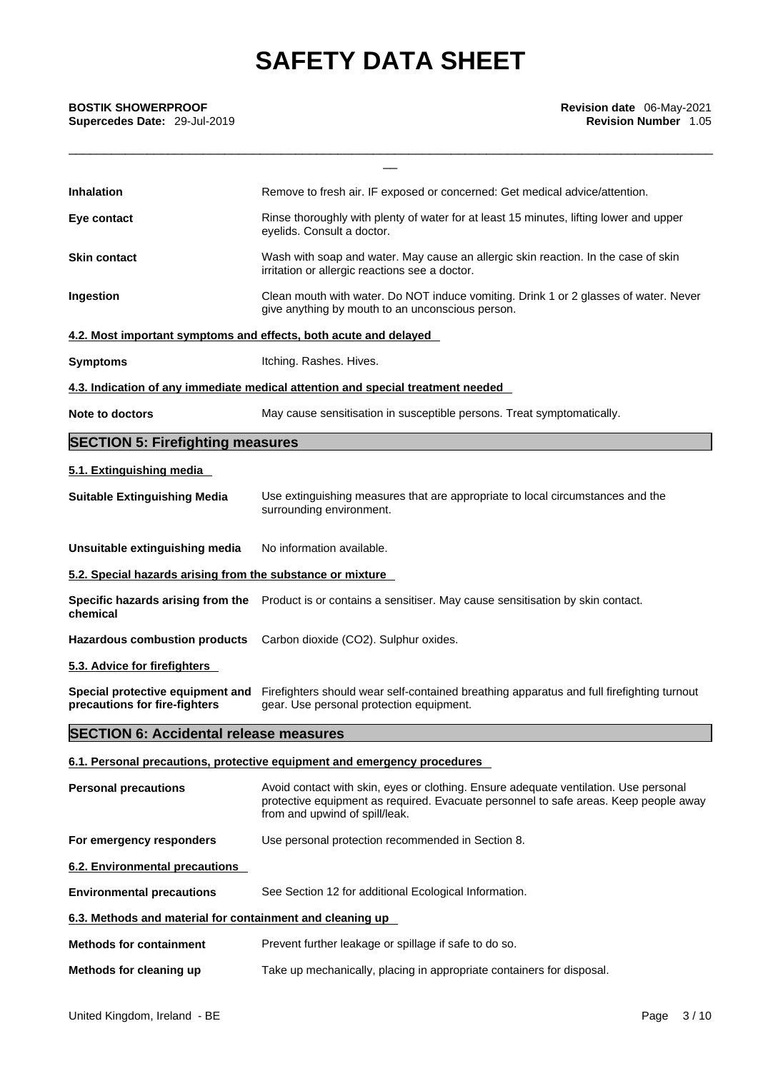\_\_\_\_\_\_\_\_\_\_\_\_\_\_\_\_\_\_\_\_\_\_\_\_\_\_\_\_\_\_\_\_\_\_\_\_\_\_\_\_\_\_\_\_\_\_\_\_\_\_\_\_\_\_\_\_\_\_\_\_\_\_\_\_\_\_\_\_\_\_\_\_\_\_\_\_\_\_\_\_\_\_\_\_\_\_\_\_\_\_\_

| <b>Inhalation</b>                                                 | Remove to fresh air. IF exposed or concerned: Get medical advice/attention.                                                                                                                                    |  |  |  |  |
|-------------------------------------------------------------------|----------------------------------------------------------------------------------------------------------------------------------------------------------------------------------------------------------------|--|--|--|--|
| Eye contact                                                       | Rinse thoroughly with plenty of water for at least 15 minutes, lifting lower and upper<br>eyelids. Consult a doctor.                                                                                           |  |  |  |  |
| <b>Skin contact</b>                                               | Wash with soap and water. May cause an allergic skin reaction. In the case of skin<br>irritation or allergic reactions see a doctor.                                                                           |  |  |  |  |
| Ingestion                                                         | Clean mouth with water. Do NOT induce vomiting. Drink 1 or 2 glasses of water. Never<br>give anything by mouth to an unconscious person.                                                                       |  |  |  |  |
| 4.2. Most important symptoms and effects, both acute and delayed  |                                                                                                                                                                                                                |  |  |  |  |
| <b>Symptoms</b>                                                   | Itching. Rashes. Hives.                                                                                                                                                                                        |  |  |  |  |
|                                                                   | 4.3. Indication of any immediate medical attention and special treatment needed                                                                                                                                |  |  |  |  |
| <b>Note to doctors</b>                                            | May cause sensitisation in susceptible persons. Treat symptomatically.                                                                                                                                         |  |  |  |  |
| <b>SECTION 5: Firefighting measures</b>                           |                                                                                                                                                                                                                |  |  |  |  |
| 5.1. Extinguishing media                                          |                                                                                                                                                                                                                |  |  |  |  |
| <b>Suitable Extinguishing Media</b>                               | Use extinguishing measures that are appropriate to local circumstances and the<br>surrounding environment.                                                                                                     |  |  |  |  |
| Unsuitable extinguishing media                                    | No information available.                                                                                                                                                                                      |  |  |  |  |
| 5.2. Special hazards arising from the substance or mixture        |                                                                                                                                                                                                                |  |  |  |  |
| chemical                                                          | Specific hazards arising from the Product is or contains a sensitiser. May cause sensitisation by skin contact.                                                                                                |  |  |  |  |
| <b>Hazardous combustion products</b>                              | Carbon dioxide (CO2). Sulphur oxides.                                                                                                                                                                          |  |  |  |  |
| 5.3. Advice for firefighters                                      |                                                                                                                                                                                                                |  |  |  |  |
| Special protective equipment and<br>precautions for fire-fighters | Firefighters should wear self-contained breathing apparatus and full firefighting turnout<br>gear. Use personal protection equipment.                                                                          |  |  |  |  |
| <b>SECTION 6: Accidental release measures</b>                     |                                                                                                                                                                                                                |  |  |  |  |
|                                                                   | 6.1. Personal precautions, protective equipment and emergency procedures                                                                                                                                       |  |  |  |  |
| <b>Personal precautions</b>                                       | Avoid contact with skin, eyes or clothing. Ensure adequate ventilation. Use personal<br>protective equipment as required. Evacuate personnel to safe areas. Keep people away<br>from and upwind of spill/leak. |  |  |  |  |
| For emergency responders                                          | Use personal protection recommended in Section 8.                                                                                                                                                              |  |  |  |  |
| 6.2. Environmental precautions                                    |                                                                                                                                                                                                                |  |  |  |  |
| <b>Environmental precautions</b>                                  | See Section 12 for additional Ecological Information.                                                                                                                                                          |  |  |  |  |
| 6.3. Methods and material for containment and cleaning up         |                                                                                                                                                                                                                |  |  |  |  |
| <b>Methods for containment</b>                                    | Prevent further leakage or spillage if safe to do so.                                                                                                                                                          |  |  |  |  |
| Methods for cleaning up                                           | Take up mechanically, placing in appropriate containers for disposal.                                                                                                                                          |  |  |  |  |
|                                                                   |                                                                                                                                                                                                                |  |  |  |  |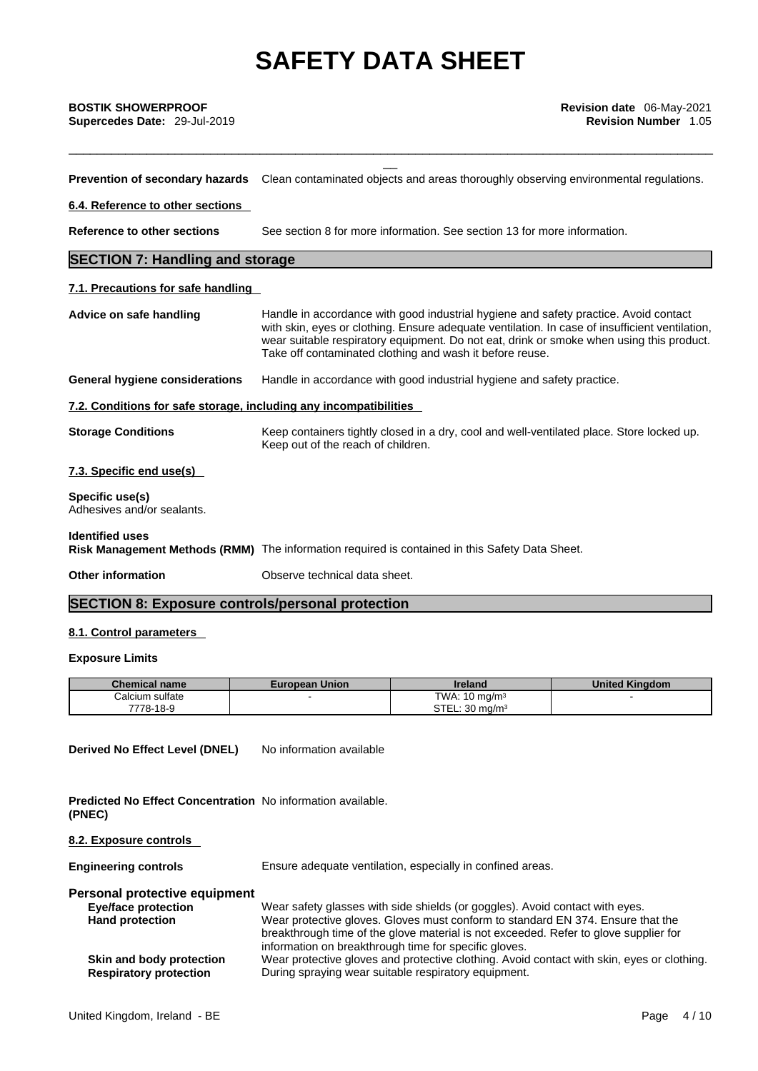\_\_\_\_\_\_\_\_\_\_\_\_\_\_\_\_\_\_\_\_\_\_\_\_\_\_\_\_\_\_\_\_\_\_\_\_\_\_\_\_\_\_\_\_\_\_\_\_\_\_\_\_\_\_\_\_\_\_\_\_\_\_\_\_\_\_\_\_\_\_\_\_\_\_\_\_\_\_\_\_\_\_\_\_\_\_\_\_\_\_\_

|                                                                   | Prevention of secondary hazards Clean contaminated objects and areas thoroughly observing environmental regulations.                                                                                                                                                                                                                           |
|-------------------------------------------------------------------|------------------------------------------------------------------------------------------------------------------------------------------------------------------------------------------------------------------------------------------------------------------------------------------------------------------------------------------------|
| 6.4. Reference to other sections                                  |                                                                                                                                                                                                                                                                                                                                                |
| <b>Reference to other sections</b>                                | See section 8 for more information. See section 13 for more information.                                                                                                                                                                                                                                                                       |
| <b>SECTION 7: Handling and storage</b>                            |                                                                                                                                                                                                                                                                                                                                                |
| 7.1. Precautions for safe handling                                |                                                                                                                                                                                                                                                                                                                                                |
| Advice on safe handling                                           | Handle in accordance with good industrial hygiene and safety practice. Avoid contact<br>with skin, eyes or clothing. Ensure adequate ventilation. In case of insufficient ventilation,<br>wear suitable respiratory equipment. Do not eat, drink or smoke when using this product.<br>Take off contaminated clothing and wash it before reuse. |
| <b>General hygiene considerations</b>                             | Handle in accordance with good industrial hygiene and safety practice.                                                                                                                                                                                                                                                                         |
| 7.2. Conditions for safe storage, including any incompatibilities |                                                                                                                                                                                                                                                                                                                                                |
| <b>Storage Conditions</b>                                         | Keep containers tightly closed in a dry, cool and well-ventilated place. Store locked up.<br>Keep out of the reach of children.                                                                                                                                                                                                                |
| 7.3. Specific end use(s)                                          |                                                                                                                                                                                                                                                                                                                                                |
| Specific use(s)<br>Adhesives and/or sealants.                     |                                                                                                                                                                                                                                                                                                                                                |
| <b>Identified uses</b>                                            |                                                                                                                                                                                                                                                                                                                                                |
|                                                                   | Risk Management Methods (RMM) The information required is contained in this Safety Data Sheet.                                                                                                                                                                                                                                                 |
| <b>Other information</b>                                          | Observe technical data sheet.                                                                                                                                                                                                                                                                                                                  |
| <b>SECTION 8: Exposure controls/personal protection</b>           |                                                                                                                                                                                                                                                                                                                                                |

# **8.1. Control parameters**

# **Exposure Limits**

| <b>Chemical name</b> | <b>European Union</b> | Ireland                  | United Kinadom |
|----------------------|-----------------------|--------------------------|----------------|
| Calcium sulfate      |                       | TWA: $10 \text{ mg/m}^3$ |                |
| 7778-18-9            |                       | STEL<br>ാറ<br>) ma/mª    |                |

**Derived No Effect Level (DNEL)** No information available

| <b>Predicted No Effect Concentration</b> No information available.<br>(PNEC) |                                                                             |
|------------------------------------------------------------------------------|-----------------------------------------------------------------------------|
| 8.2. Exposure controls                                                       |                                                                             |
| <b>Engineering controls</b>                                                  | Ensure adequate ventilation, especially in confined areas.                  |
| Personal protective equipment<br>Euglicae protection                         | Wear oatety alongon with aide abjalde (er gogales). Avoid contact with over |

| <b>Eye/face protection</b>    | Wear safety glasses with side shields (or goggles). Avoid contact with eyes.               |
|-------------------------------|--------------------------------------------------------------------------------------------|
| <b>Hand protection</b>        | Wear protective gloves. Gloves must conform to standard EN 374. Ensure that the            |
|                               | breakthrough time of the glove material is not exceeded. Refer to glove supplier for       |
|                               | information on breakthrough time for specific gloves.                                      |
| Skin and body protection      | Wear protective gloves and protective clothing. Avoid contact with skin, eyes or clothing. |
| <b>Respiratory protection</b> | During spraying wear suitable respiratory equipment.                                       |
|                               |                                                                                            |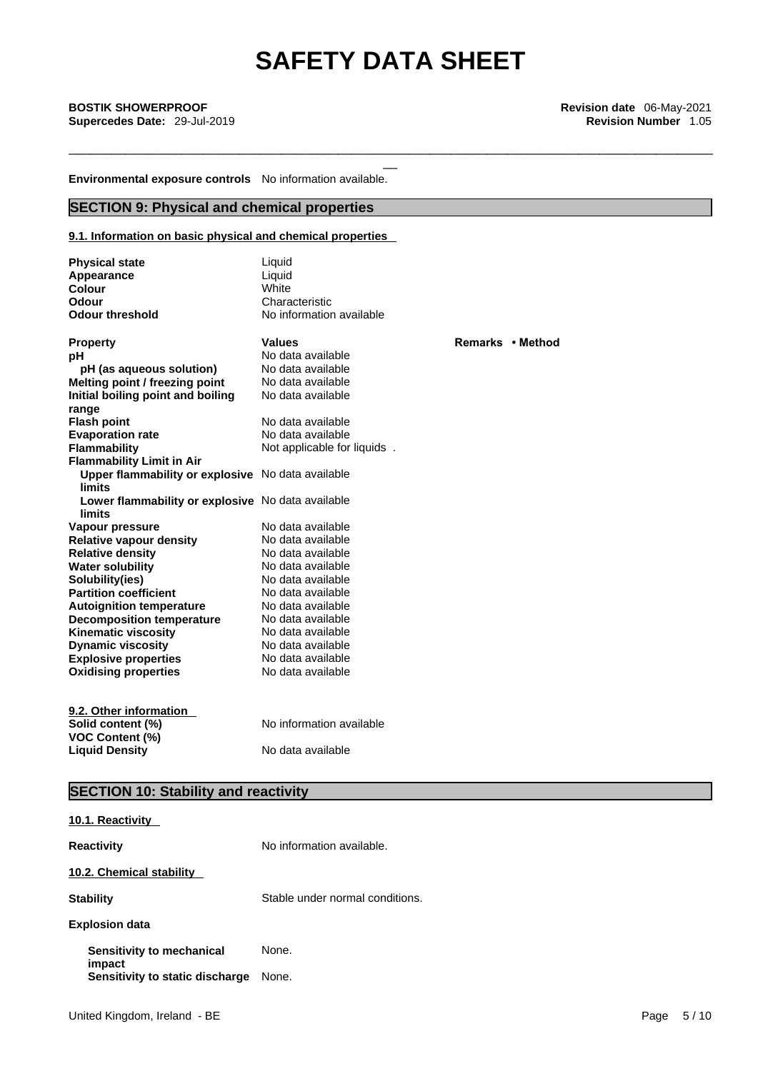\_\_\_\_\_\_\_\_\_\_\_\_\_\_\_\_\_\_\_\_\_\_\_\_\_\_\_\_\_\_\_\_\_\_\_\_\_\_\_\_\_\_\_\_\_\_\_\_\_\_\_\_\_\_\_\_\_\_\_\_\_\_\_\_\_\_\_\_\_\_\_\_\_\_\_\_\_\_\_\_\_\_\_\_\_\_\_\_\_\_\_

**Environmental exposure controls** No information available.

# **SECTION 9: Physical and chemical properties**

# **9.1. Information on basic physical and chemical properties**

| <b>Physical state</b><br>Appearance               | Liquid<br>Liquid            |                  |
|---------------------------------------------------|-----------------------------|------------------|
| Colour                                            | White                       |                  |
| Odour                                             | Characteristic              |                  |
| <b>Odour threshold</b>                            | No information available    |                  |
|                                                   |                             |                  |
| <b>Property</b>                                   | <b>Values</b>               | Remarks • Method |
| рH                                                | No data available           |                  |
| pH (as aqueous solution)                          | No data available           |                  |
| Melting point / freezing point                    | No data available           |                  |
| Initial boiling point and boiling                 | No data available           |                  |
| range                                             |                             |                  |
| <b>Flash point</b>                                | No data available           |                  |
| <b>Evaporation rate</b>                           | No data available           |                  |
| <b>Flammability</b>                               | Not applicable for liquids. |                  |
| <b>Flammability Limit in Air</b>                  |                             |                  |
| Upper flammability or explosive No data available |                             |                  |
| limits                                            |                             |                  |
| Lower flammability or explosive No data available |                             |                  |
| limits                                            |                             |                  |
| Vapour pressure                                   | No data available           |                  |
| <b>Relative vapour density</b>                    | No data available           |                  |
| <b>Relative density</b>                           | No data available           |                  |
| <b>Water solubility</b>                           | No data available           |                  |
| Solubility(ies)                                   | No data available           |                  |
| <b>Partition coefficient</b>                      | No data available           |                  |
| <b>Autoignition temperature</b>                   | No data available           |                  |
| <b>Decomposition temperature</b>                  | No data available           |                  |
| <b>Kinematic viscosity</b>                        | No data available           |                  |
| <b>Dynamic viscosity</b>                          | No data available           |                  |
| <b>Explosive properties</b>                       | No data available           |                  |
| <b>Oxidising properties</b>                       | No data available           |                  |
|                                                   |                             |                  |
| 9.2. Other information                            |                             |                  |
| Solid content (%)                                 | No information available    |                  |
| <b>VOC Content (%)</b>                            |                             |                  |
| <b>Liquid Density</b>                             | No data available           |                  |

# **SECTION 10: Stability and reactivity**

| 10.1. Reactivity                          |                                 |
|-------------------------------------------|---------------------------------|
| <b>Reactivity</b>                         | No information available.       |
| 10.2. Chemical stability                  |                                 |
| <b>Stability</b>                          | Stable under normal conditions. |
| <b>Explosion data</b>                     |                                 |
| Sensitivity to mechanical                 | None.                           |
| impact<br>Sensitivity to static discharge | None.                           |
|                                           |                                 |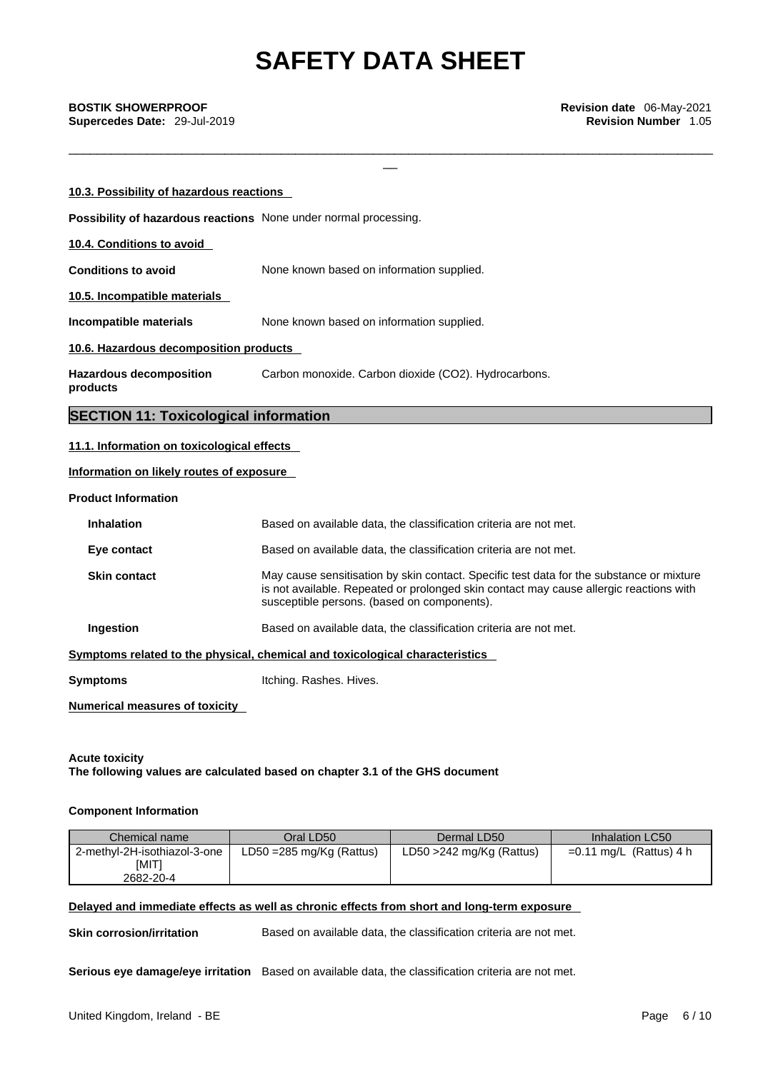\_\_\_\_\_\_\_\_\_\_\_\_\_\_\_\_\_\_\_\_\_\_\_\_\_\_\_\_\_\_\_\_\_\_\_\_\_\_\_\_\_\_\_\_\_\_\_\_\_\_\_\_\_\_\_\_\_\_\_\_\_\_\_\_\_\_\_\_\_\_\_\_\_\_\_\_\_\_\_\_\_\_\_\_\_\_\_\_\_\_\_

| 10.3. Possibility of hazardous reactions                                               |                                                                                                                                                                                                                                   |
|----------------------------------------------------------------------------------------|-----------------------------------------------------------------------------------------------------------------------------------------------------------------------------------------------------------------------------------|
| Possibility of hazardous reactions None under normal processing.                       |                                                                                                                                                                                                                                   |
| 10.4. Conditions to avoid                                                              |                                                                                                                                                                                                                                   |
| <b>Conditions to avoid</b>                                                             | None known based on information supplied.                                                                                                                                                                                         |
| 10.5. Incompatible materials                                                           |                                                                                                                                                                                                                                   |
| Incompatible materials                                                                 | None known based on information supplied.                                                                                                                                                                                         |
| 10.6. Hazardous decomposition products                                                 |                                                                                                                                                                                                                                   |
| <b>Hazardous decomposition</b><br>products                                             | Carbon monoxide. Carbon dioxide (CO2). Hydrocarbons.                                                                                                                                                                              |
| <b>SECTION 11: Toxicological information</b>                                           |                                                                                                                                                                                                                                   |
| 11.1. Information on toxicological effects<br>Information on likely routes of exposure |                                                                                                                                                                                                                                   |
| <b>Product Information</b>                                                             |                                                                                                                                                                                                                                   |
| <b>Inhalation</b>                                                                      | Based on available data, the classification criteria are not met.                                                                                                                                                                 |
| Eye contact                                                                            | Based on available data, the classification criteria are not met.                                                                                                                                                                 |
| Skin contact                                                                           | May cause sensitisation by skin contact. Specific test data for the substance or mixture<br>is not available. Repeated or prolonged skin contact may cause allergic reactions with<br>susceptible persons. (based on components). |
| Ingestion                                                                              | Based on available data, the classification criteria are not met.                                                                                                                                                                 |
|                                                                                        | Symptoms related to the physical, chemical and toxicological characteristics                                                                                                                                                      |
| <b>Symptoms</b>                                                                        | Itching. Rashes. Hives.                                                                                                                                                                                                           |
| <b>Numerical measures of toxicity</b>                                                  |                                                                                                                                                                                                                                   |

# **Acute toxicity The following values are calculated based on chapter 3.1 of the GHS document**

## **Component Information**

| Chemical name                                      | Oral LD50                           | Dermal LD50              | Inhalation LC50           |
|----------------------------------------------------|-------------------------------------|--------------------------|---------------------------|
| 2-methyl-2H-isothiazol-3-one<br>[MIT]<br>2682-20-4 | LD50 = $285 \text{ mg/Kg}$ (Rattus) | LD50 >242 mg/Kg (Rattus) | $=0.11$ mg/L (Rattus) 4 h |

# **Delayed and immediate effects as well as chronic effects from short and long-term exposure**

**Skin corrosion/irritation** Based on available data, the classification criteria are not met.

**Serious eye damage/eye irritation** Based on available data, the classification criteria are not met.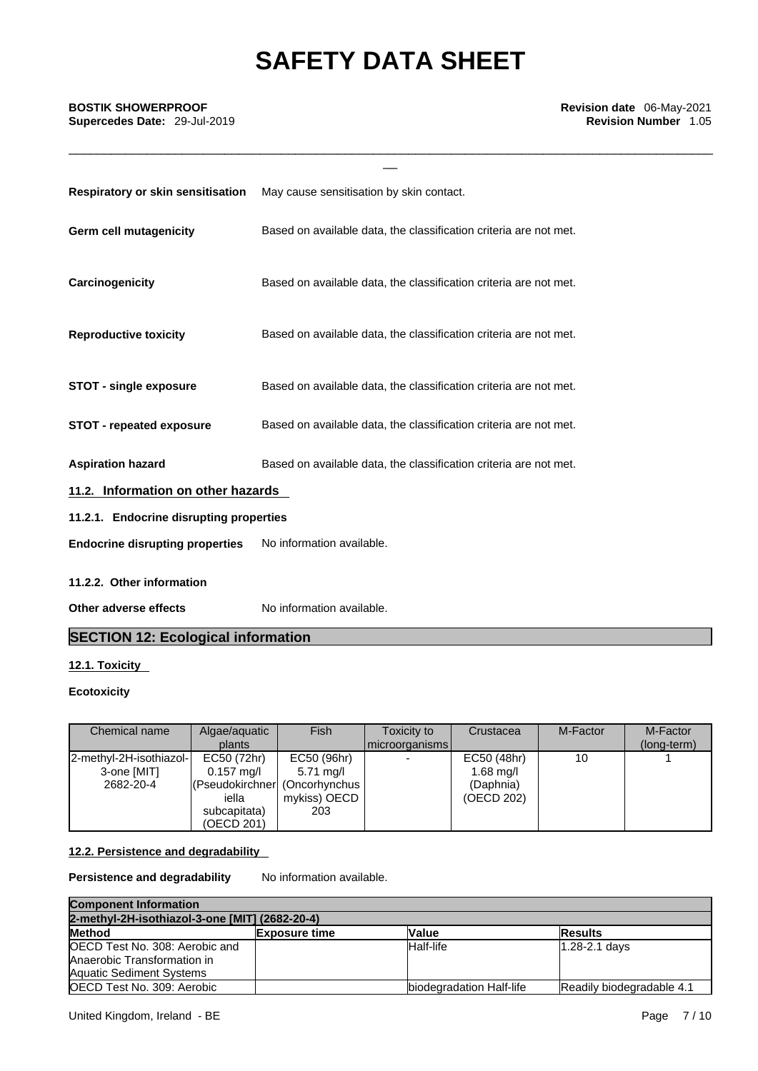\_\_\_\_\_\_\_\_\_\_\_\_\_\_\_\_\_\_\_\_\_\_\_\_\_\_\_\_\_\_\_\_\_\_\_\_\_\_\_\_\_\_\_\_\_\_\_\_\_\_\_\_\_\_\_\_\_\_\_\_\_\_\_\_\_\_\_\_\_\_\_\_\_\_\_\_\_\_\_\_\_\_\_\_\_\_\_\_\_\_\_

| <b>Respiratory or skin sensitisation</b> | May cause sensitisation by skin contact.                          |
|------------------------------------------|-------------------------------------------------------------------|
| Germ cell mutagenicity                   | Based on available data, the classification criteria are not met. |
| Carcinogenicity                          | Based on available data, the classification criteria are not met. |
| <b>Reproductive toxicity</b>             | Based on available data, the classification criteria are not met. |
| <b>STOT - single exposure</b>            | Based on available data, the classification criteria are not met. |
| <b>STOT - repeated exposure</b>          | Based on available data, the classification criteria are not met. |
| <b>Aspiration hazard</b>                 | Based on available data, the classification criteria are not met. |
| 11.2. Information on other hazards       |                                                                   |
| 11.2.1. Endocrine disrupting properties  |                                                                   |
| <b>Endocrine disrupting properties</b>   | No information available.                                         |

# **11.2.2. Other information**

**Other adverse effects** No information available.

# **SECTION 12: Ecological information**

# **12.1. Toxicity**

# **Ecotoxicity**

| Chemical name           | Algae/aquatic<br>plants       | Fish                | Toxicity to<br>microorganisms | Crustacea   | M-Factor | M-Factor<br>(long-term) |
|-------------------------|-------------------------------|---------------------|-------------------------------|-------------|----------|-------------------------|
| 2-methyl-2H-isothiazol- | EC50 (72hr)                   | EC50 (96hr)         |                               | EC50 (48hr) | 10       |                         |
| 3-one [MIT]             | $0.157 \text{ mg/l}$          | $5.71 \text{ mg/l}$ |                               | $1.68$ mg/l |          |                         |
| 2682-20-4               | (Pseudokirchner (Oncorhynchus |                     |                               | (Daphnia)   |          |                         |
|                         | iella                         | mykiss) OECD        |                               | (OECD 202)  |          |                         |
|                         | subcapitata)                  | 203                 |                               |             |          |                         |
|                         | (OECD 201)                    |                     |                               |             |          |                         |

# **12.2. Persistence and degradability**

**Persistence and degradability** No information available.

| <b>Component Information</b>                   |                      |                                  |                           |
|------------------------------------------------|----------------------|----------------------------------|---------------------------|
| 2-methyl-2H-isothiazol-3-one [MIT] (2682-20-4) |                      |                                  |                           |
| <b>Method</b>                                  | <b>Exposure time</b> | <b>Value</b>                     | <b>Results</b>            |
| OECD Test No. 308: Aerobic and                 |                      | Half-life                        | 1.28-2.1 days             |
| Anaerobic Transformation in                    |                      |                                  |                           |
| Aquatic Sediment Systems                       |                      |                                  |                           |
| OECD Test No. 309: Aerobic                     |                      | <b>Ibiodegradation Half-life</b> | Readily biodegradable 4.1 |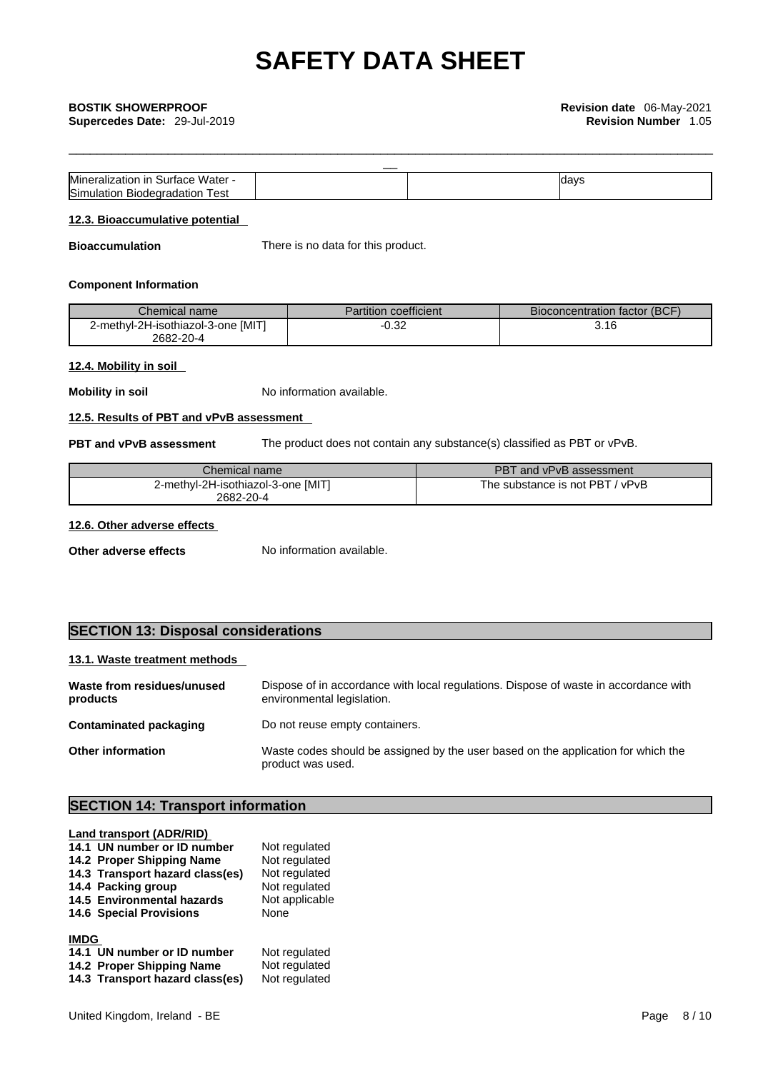| Mineralization<br>Water<br>surtace<br>ın      |  | davs |
|-----------------------------------------------|--|------|
| Simulation<br>est<br><b>Biodegrad</b><br>anor |  |      |

\_\_\_\_\_\_\_\_\_\_\_\_\_\_\_\_\_\_\_\_\_\_\_\_\_\_\_\_\_\_\_\_\_\_\_\_\_\_\_\_\_\_\_\_\_\_\_\_\_\_\_\_\_\_\_\_\_\_\_\_\_\_\_\_\_\_\_\_\_\_\_\_\_\_\_\_\_\_\_\_\_\_\_\_\_\_\_\_\_\_\_

# **12.3. Bioaccumulative potential**

**Bioaccumulation** There is no data for this product.

#### **Component Information**

| Chemical name                      | Partition coefficient | Bioconcentration factor (BCF) |
|------------------------------------|-----------------------|-------------------------------|
| 2-methyl-2H-isothiazol-3-one [MIT] | ـ ـ∪.ت                | 3.16                          |
| 2682-20-4                          |                       |                               |

# **12.4. Mobility in soil**

**Mobility in soil** No information available.

# **12.5. Results of PBT and vPvB assessment**

**PBT and vPvB assessment** The product does not contain any substance(s) classified as PBT or vPvB.

| Chemical name                      | PBT and vPvB assessment         |  |
|------------------------------------|---------------------------------|--|
| 2-methyl-2H-isothiazol-3-one [MIT] | The substance is not PBT / vPvB |  |
| 2682-20-4                          |                                 |  |

# **12.6. Other adverse effects**

**Other adverse effects** No information available.

# **SECTION 13: Disposal considerations**

## **13.1. Waste treatment methods**

| Waste from residues/unused<br>products | Dispose of in accordance with local regulations. Dispose of waste in accordance with<br>environmental legislation. |
|----------------------------------------|--------------------------------------------------------------------------------------------------------------------|
| Contaminated packaging                 | Do not reuse empty containers.                                                                                     |
| <b>Other information</b>               | Waste codes should be assigned by the user based on the application for which the<br>product was used.             |

# **SECTION 14: Transport information**

| Land transport (ADR/RID)                                                                                   |                                                 |
|------------------------------------------------------------------------------------------------------------|-------------------------------------------------|
| 14.1 UN number or ID number                                                                                | Not regulated                                   |
| 14.2 Proper Shipping Name                                                                                  | Not regulated                                   |
| 14.3 Transport hazard class(es)                                                                            | Not regulated                                   |
| 14.4 Packing group                                                                                         | Not regulated                                   |
| 14.5 Environmental hazards                                                                                 | Not applicable                                  |
| <b>14.6 Special Provisions</b>                                                                             | None                                            |
| <b>IMDG</b><br>14.1 UN number or ID number<br>14.2 Proper Shipping Name<br>14.3 Transport hazard class(es) | Not regulated<br>Not regulated<br>Not regulated |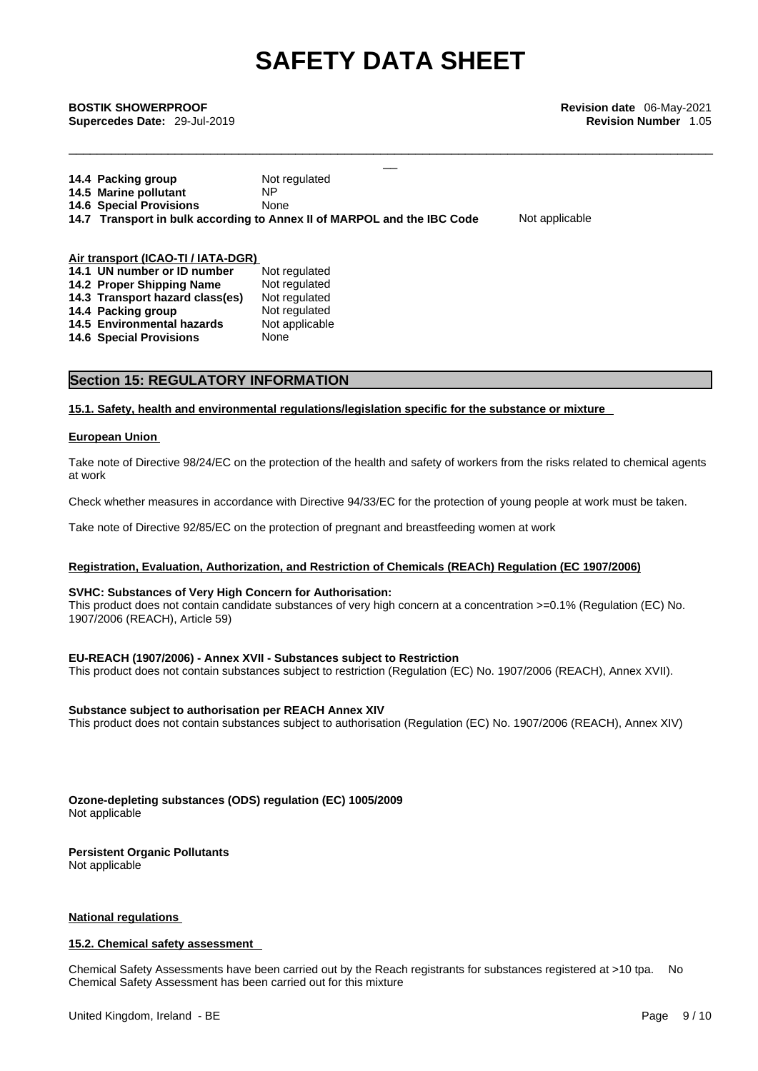\_\_\_\_\_\_\_\_\_\_\_\_\_\_\_\_\_\_\_\_\_\_\_\_\_\_\_\_\_\_\_\_\_\_\_\_\_\_\_\_\_\_\_\_\_\_\_\_\_\_\_\_\_\_\_\_\_\_\_\_\_\_\_\_\_\_\_\_\_\_\_\_\_\_\_\_\_\_\_\_\_\_\_\_\_\_\_\_\_\_\_

| 14.4 Packing group             | Not regulated                                                           |                |
|--------------------------------|-------------------------------------------------------------------------|----------------|
| 14.5 Marine pollutant          | ΝP                                                                      |                |
| <b>14.6 Special Provisions</b> | None                                                                    |                |
|                                | 14.7 Transport in bulk according to Annex II of MARPOL and the IBC Code | Not applicable |

| Air transport (ICAO-TI / IATA-DGR) |                |
|------------------------------------|----------------|
| 14.1 UN number or ID number        | Not regulated  |
| 14.2 Proper Shipping Name          | Not regulated  |
| 14.3 Transport hazard class(es)    | Not regulated  |
| 14.4 Packing group                 | Not regulated  |
| <b>14.5 Environmental hazards</b>  | Not applicable |
| <b>14.6 Special Provisions</b>     | None           |
|                                    |                |

# **Section 15: REGULATORY INFORMATION**

## **15.1. Safety, health and environmental regulations/legislation specific for the substance or mixture**

## **European Union**

Take note of Directive 98/24/EC on the protection of the health and safety of workers from the risks related to chemical agents at work

Check whether measures in accordance with Directive 94/33/EC for the protection of young people at work must be taken.

Take note of Directive 92/85/EC on the protection of pregnant and breastfeeding women at work

## **Registration, Evaluation, Authorization, and Restriction of Chemicals (REACh) Regulation (EC 1907/2006)**

#### **SVHC: Substances of Very High Concern for Authorisation:**

This product does not contain candidate substances of very high concern at a concentration >=0.1% (Regulation (EC) No. 1907/2006 (REACH), Article 59)

## **EU-REACH (1907/2006) - Annex XVII - Substances subject to Restriction**

This product does not contain substances subject to restriction (Regulation (EC) No. 1907/2006 (REACH), Annex XVII).

## **Substance subject to authorisation per REACH Annex XIV**

This product does not contain substances subject to authorisation (Regulation (EC) No. 1907/2006 (REACH), Annex XIV)

**Ozone-depleting substances (ODS) regulation (EC) 1005/2009** Not applicable

**Persistent Organic Pollutants** Not applicable

## **National regulations**

## **15.2. Chemical safety assessment**

Chemical Safety Assessments have been carried out by the Reach registrants for substances registered at >10 tpa. No Chemical Safety Assessment has been carried out for this mixture